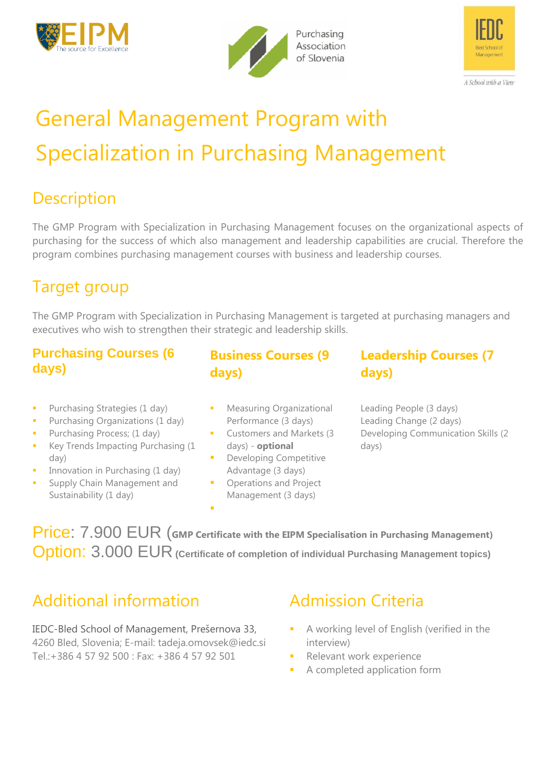





## General Management Program with Specialization in Purchasing Management

## **Description**

The GMP Program with Specialization in Purchasing Management focuses on the organizational aspects of purchasing for the success of which also management and leadership capabilities are crucial. Therefore the program combines purchasing management courses with business and leadership courses.

## Target group

The GMP Program with Specialization in Purchasing Management is targeted at purchasing managers and executives who wish to strengthen their strategic and leadership skills.

### **Purchasing Courses (6 days)**

- **Purchasing Strategies (1 day)**
- Purchasing Organizations (1 day)
- **Purchasing Process; (1 day)**
- Key Trends Impacting Purchasing (1 day)
- Innovation in Purchasing (1 day)
- Supply Chain Management and Sustainability (1 day)
- **Business Courses (9 days)**
- Measuring Organizational Performance (3 days)
- **Customers and Markets (3)** days) - **optional**
- **Developing Competitive** Advantage (3 days)
- Operations and Project Management (3 days)

F

### **Leadership Courses (7 days)**

Leading People (3 days) Leading Change (2 days) Developing Communication Skills (2 days)

Price: 7.900 EUR (**GMP Certificate with the EIPM Specialisation in Purchasing Management)** Option: 3.000 EUR **(Certificate of completion of individual Purchasing Management topics)**

## Additional information

IEDC-Bled School of Management, Prešernova 33, 4260 Bled, Slovenia; E-mail: tadeja.omovsek@iedc.si Tel.:+386 4 57 92 500 : Fax: +386 4 57 92 501

## Admission Criteria

- A working level of English (verified in the interview)
- Relevant work experience
- A completed application form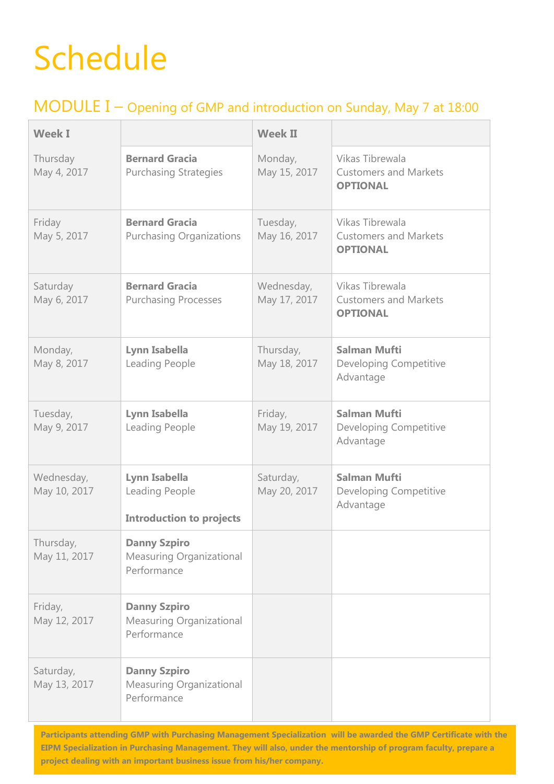# Schedule

### MODULE I – Opening of GMP and introduction on Sunday, May 7 at 18:00

| <b>Week I</b>              |                                                                    | <b>Week II</b>             |                                                                    |
|----------------------------|--------------------------------------------------------------------|----------------------------|--------------------------------------------------------------------|
| Thursday<br>May 4, 2017    | <b>Bernard Gracia</b><br><b>Purchasing Strategies</b>              | Monday,<br>May 15, 2017    | Vikas Tibrewala<br><b>Customers and Markets</b><br><b>OPTIONAL</b> |
| Friday<br>May 5, 2017      | <b>Bernard Gracia</b><br><b>Purchasing Organizations</b>           | Tuesday,<br>May 16, 2017   | Vikas Tibrewala<br><b>Customers and Markets</b><br><b>OPTIONAL</b> |
| Saturday<br>May 6, 2017    | <b>Bernard Gracia</b><br><b>Purchasing Processes</b>               | Wednesday,<br>May 17, 2017 | Vikas Tibrewala<br><b>Customers and Markets</b><br><b>OPTIONAL</b> |
| Monday,<br>May 8, 2017     | Lynn Isabella<br>Leading People                                    | Thursday,<br>May 18, 2017  | <b>Salman Mufti</b><br>Developing Competitive<br>Advantage         |
| Tuesday,<br>May 9, 2017    | Lynn Isabella<br>Leading People                                    | Friday,<br>May 19, 2017    | <b>Salman Mufti</b><br>Developing Competitive<br>Advantage         |
| Wednesday,<br>May 10, 2017 | Lynn Isabella<br>Leading People<br><b>Introduction to projects</b> | Saturday,<br>May 20, 2017  | <b>Salman Mufti</b><br>Developing Competitive<br>Advantage         |
| Thursday,<br>May 11, 2017  | <b>Danny Szpiro</b><br>Measuring Organizational<br>Performance     |                            |                                                                    |
| Friday,<br>May 12, 2017    | <b>Danny Szpiro</b><br>Measuring Organizational<br>Performance     |                            |                                                                    |
| Saturday,<br>May 13, 2017  | <b>Danny Szpiro</b><br>Measuring Organizational<br>Performance     |                            |                                                                    |

**Participants attending GMP with Purchasing Management Specialization will be awarded the GMP Certificate with the EIPM Specialization in Purchasing Management. They will also, under the mentorship of program faculty, prepare a project dealing with an important business issue from his/her company.**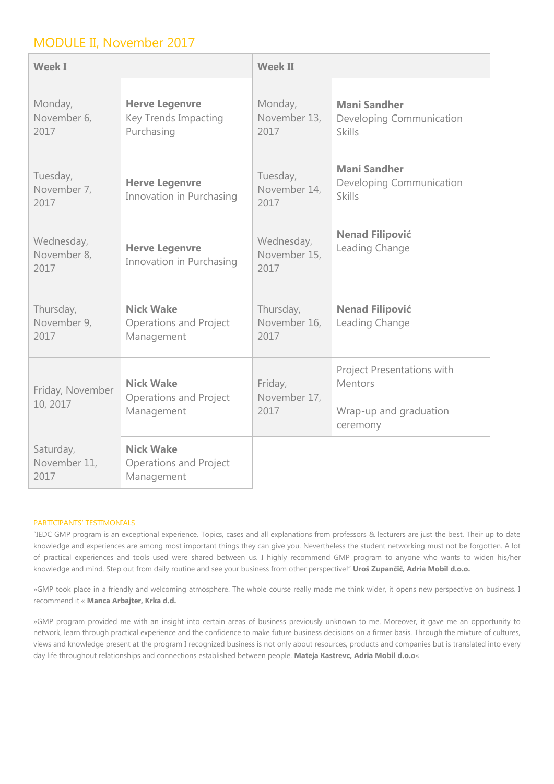### MODULE II, November 2017

| <b>Week I</b>                     |                                                                 | <b>Week II</b>                     |                                                                             |
|-----------------------------------|-----------------------------------------------------------------|------------------------------------|-----------------------------------------------------------------------------|
| Monday,<br>November 6,<br>2017    | <b>Herve Legenvre</b><br>Key Trends Impacting<br>Purchasing     | Monday,<br>November 13,<br>2017    | <b>Mani Sandher</b><br>Developing Communication<br><b>Skills</b>            |
| Tuesday,<br>November 7,<br>2017   | <b>Herve Legenvre</b><br>Innovation in Purchasing               | Tuesday,<br>November 14,<br>2017   | <b>Mani Sandher</b><br>Developing Communication<br><b>Skills</b>            |
| Wednesday,<br>November 8,<br>2017 | <b>Herve Legenvre</b><br>Innovation in Purchasing               | Wednesday,<br>November 15,<br>2017 | <b>Nenad Filipović</b><br>Leading Change                                    |
| Thursday,<br>November 9,<br>2017  | <b>Nick Wake</b><br><b>Operations and Project</b><br>Management | Thursday,<br>November 16,<br>2017  | <b>Nenad Filipović</b><br>Leading Change                                    |
| Friday, November<br>10, 2017      | <b>Nick Wake</b><br><b>Operations and Project</b><br>Management | Friday,<br>November 17,<br>2017    | Project Presentations with<br>Mentors<br>Wrap-up and graduation<br>ceremony |
| Saturday,<br>November 11,<br>2017 | <b>Nick Wake</b><br><b>Operations and Project</b><br>Management |                                    |                                                                             |

#### PARTICIPANTS' TESTIMONIALS

"IEDC GMP program is an exceptional experience. Topics, cases and all explanations from professors & lecturers are just the best. Their up to date knowledge and experiences are among most important things they can give you. Nevertheless the student networking must not be forgotten. A lot of practical experiences and tools used were shared between us. I highly recommend GMP program to anyone who wants to widen his/her knowledge and mind. Step out from daily routine and see your business from other perspective!" **Uroš Zupančič, Adria Mobil d.o.o.**

»GMP took place in a friendly and welcoming atmosphere. The whole course really made me think wider, it opens new perspective on business. I recommend it.« **Manca Arbajter, Krka d.d.**

»GMP program provided me with an insight into certain areas of business previously unknown to me. Moreover, it gave me an opportunity to network, learn through practical experience and the confidence to make future business decisions on a firmer basis. Through the mixture of cultures, views and knowledge present at the program I recognized business is not only about resources, products and companies but is translated into every day life throughout relationships and connections established between people. **Mateja Kastrevc, Adria Mobil d.o.o**«